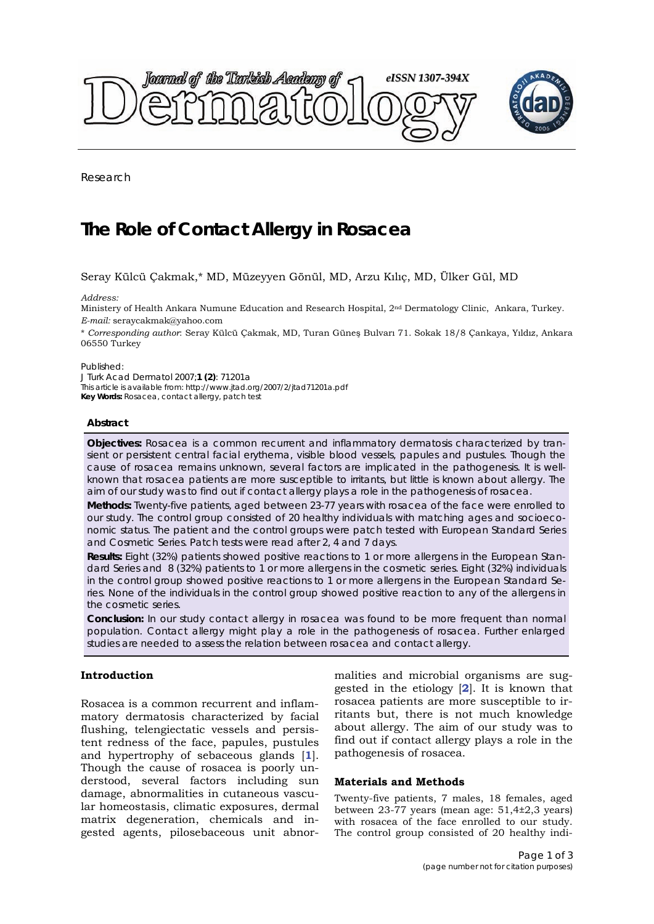<span id="page-0-0"></span>

Research

# **The Role of Contact Allergy in Rosacea**

# Seray Külcü Çakmak,\* MD, Müzeyyen Gönül, MD, Arzu Kılıç, MD, Ülker Gül, MD

*Address:* 

Ministery of Health Ankara Numune Education and Research Hospital, 2nd Dermatology Clinic, Ankara, Turkey. *E-mail:* seraycakmak@yahoo.com

\* *Corresponding author*: Seray Külcü Çakmak, MD, Turan Güneş Bulvarı 71. Sokak 18/8 Çankaya, Yıldız, Ankara 06550 Turkey

#### Published:

*J Turk Acad Dermatol* 2007;**1 (2)**: 71201a This article is available from: http://www.jtad.org/2007/2/jtad71201a.pdf **Key Words:** Rosacea, contact allergy, patch test

#### **Abstract**

**Objectives:** Rosacea is a common recurrent and inflammatory dermatosis characterized by transient or persistent central facial erythema, visible blood vessels, papules and pustules. Though the cause of rosacea remains unknown, several factors are implicated in the pathogenesis. It is wellknown that rosacea patients are more susceptible to irritants, but little is known about allergy. The aim of our study was to find out if contact allergy plays a role in the pathogenesis of rosacea.

**Methods:** Twenty-five patients, aged between 23-77 years with rosacea of the face were enrolled to our study. The control group consisted of 20 healthy individuals with matching ages and socioeconomic status. The patient and the control groups were patch tested with European Standard Series and Cosmetic Series. Patch tests were read after 2, 4 and 7 days.

**Results:** Eight (32%) patients showed positive reactions to 1 or more allergens in the European Standard Series and 8 (32%) patients to 1 or more allergens in the cosmetic series. Eight (32%) individuals in the control group showed positive reactions to 1 or more allergens in the European Standard Series. None of the individuals in the control group showed positive reaction to any of the allergens in the cosmetic series.

**Conclusion:** In our study contact allergy in rosacea was found to be more frequent than normal population. Contact allergy might play a role in the pathogenesis of rosacea. Further enlarged studies are needed to assess the relation between rosacea and contact allergy.

# **Introduction**

Rosacea is a common recurrent and inflammatory dermatosis characterized by facial flushing, telengiectatic vessels and persistent redness of the face, papules, pustules and hypertrophy of sebaceous glands [**[1](#page-2-0)**]. Though the cause of rosacea is poorly understood, several factors including sun damage, abnormalities in cutaneous vascular homeostasis, climatic exposures, dermal matrix degeneration, chemicals and ingested agents, pilosebaceous unit abnormalities and microbial organisms are suggested in the etiology [**[2](#page-2-0)**]. It is known that rosacea patients are more susceptible to irritants but, there is not much knowledge about allergy. The aim of our study was to find out if contact allergy plays a role in the pathogenesis of rosacea.

### **Materials and Methods**

Twenty-five patients, 7 males, 18 females, aged between 23-77 years (mean age: 51,4±2,3 years) with rosacea of the face enrolled to our study. The control group consisted of 20 healthy indi-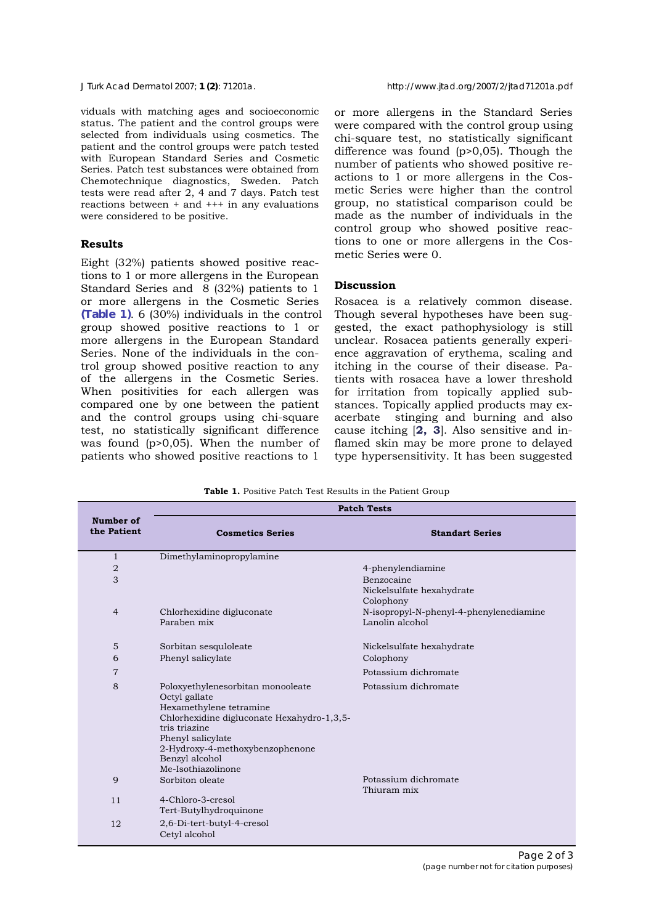<span id="page-1-0"></span>viduals with matching ages and socioeconomic status. The patient and the control groups were selected from individuals using cosmetics. The patient and the control groups were patch tested with European Standard Series and Cosmetic Series. Patch test substances were obtained from Chemotechnique diagnostics, Sweden. Patch tests were read after  $2$ , 4 and 7 days. Patch test reactions between + and +++ in any evaluations were considered to be positive.

## **Results**

Eight (32%) patients showed positive reactions to 1 or more allergens in the European Standard Series and 8 (32%) patients to 1 or more allergens in the Cosmetic Series **(Table 1)**. 6 (30%) individuals in the control group showed positive reactions to 1 or more allergens in the European Standard Series. None of the individuals in the control group showed positive reaction to any of the allergens in the Cosmetic Series. When positivities for each allergen was compared one by one between the patient and the control groups using chi-square test, no statistically significant difference was found (p>0,05). When the number of patients who showed positive reactions to 1

or more allergens in the Standard Series were compared with the control group using chi-square test, no statistically significant difference was found (p>0,05). Though the number of patients who showed positive reactions to 1 or more allergens in the Cosmetic Series were higher than the control group, no statistical comparison could be made as the number of individuals in the control group who showed positive reactions to one or more allergens in the Cosmetic Series were 0.

### **Discussion**

Rosacea is a relatively common disease. Though several hypotheses have been suggested, the exact pathophysiology is still unclear. Rosacea patients generally experience aggravation of erythema, scaling and itching in the course of their disease. Patients with rosacea have a lower threshold for irritation from topically applied substances. Topically applied products may exacerbate stinging and burning and also cause itching [**[2](#page-2-0), [3](#page-2-0)**]. Also sensitive and inflamed skin may be more prone to delayed type hypersensitivity. It has been suggested

**Table 1.** Positive Patch Test Results in the Patient Group

|                          | <b>Patch Tests</b>                                                                                                                                                                                                                           |                                                            |
|--------------------------|----------------------------------------------------------------------------------------------------------------------------------------------------------------------------------------------------------------------------------------------|------------------------------------------------------------|
| Number of<br>the Patient | <b>Cosmetics Series</b>                                                                                                                                                                                                                      | <b>Standart Series</b>                                     |
| $\mathbf{1}$             | Dimethylaminopropylamine                                                                                                                                                                                                                     |                                                            |
| 2                        |                                                                                                                                                                                                                                              | 4-phenylendiamine                                          |
| 3                        |                                                                                                                                                                                                                                              | Benzocaine<br>Nickelsulfate hexahydrate<br>Colophony       |
| $\overline{4}$           | Chlorhexidine digluconate<br>Paraben mix                                                                                                                                                                                                     | N-isopropyl-N-phenyl-4-phenylenediamine<br>Lanolin alcohol |
| 5                        | Sorbitan sesquloleate                                                                                                                                                                                                                        | Nickelsulfate hexahydrate                                  |
| 6                        | Phenyl salicylate                                                                                                                                                                                                                            | Colophony                                                  |
| $\overline{7}$           |                                                                                                                                                                                                                                              | Potassium dichromate                                       |
| 8                        | Poloxyethylenesorbitan monooleate<br>Octyl gallate<br>Hexamethylene tetramine<br>Chlorhexidine digluconate Hexahydro-1,3,5-<br>tris triazine<br>Phenyl salicylate<br>2-Hydroxy-4-methoxybenzophenone<br>Benzyl alcohol<br>Me-Isothiazolinone | Potassium dichromate                                       |
| 9                        | Sorbiton oleate                                                                                                                                                                                                                              | Potassium dichromate<br>Thiuram mix                        |
| 11                       | 4-Chloro-3-cresol<br>Tert-Butylhydroquinone                                                                                                                                                                                                  |                                                            |
| 12                       | 2,6-Di-tert-butyl-4-cresol<br>Cetyl alcohol                                                                                                                                                                                                  |                                                            |